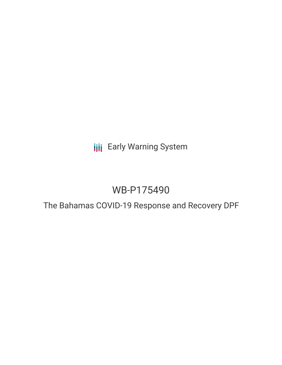**III** Early Warning System

# WB-P175490

# The Bahamas COVID-19 Response and Recovery DPF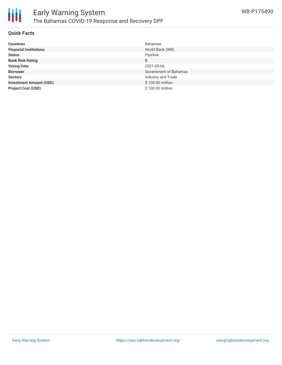

#### **Quick Facts**

| <b>Countries</b>               | Bahamas               |
|--------------------------------|-----------------------|
| <b>Financial Institutions</b>  | World Bank (WB)       |
| <b>Status</b>                  | Pipeline              |
| <b>Bank Risk Rating</b>        | B                     |
| <b>Voting Date</b>             | 2021-05-06            |
| <b>Borrower</b>                | Government of Bahamas |
| <b>Sectors</b>                 | Industry and Trade    |
| <b>Investment Amount (USD)</b> | \$100.00 million      |
| <b>Project Cost (USD)</b>      | \$100.00 million      |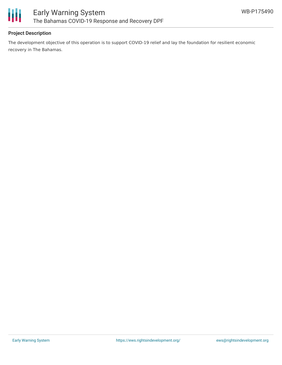



## **Project Description**

The development objective of this operation is to support COVID-19 relief and lay the foundation for resilient economic recovery in The Bahamas.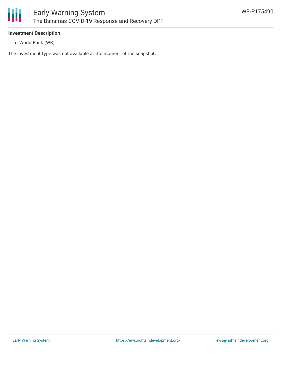

#### **Investment Description**

World Bank (WB)

The investment type was not available at the moment of the snapshot.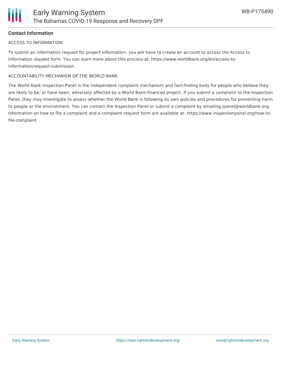

### **Contact Information**

#### ACCESS TO INFORMATION

To submit an information request for project information, you will have to create an account to access the Access to Information request form. You can learn more about this process at: https://www.worldbank.org/en/access-toinformation/request-submission

#### ACCOUNTABILITY MECHANISM OF THE WORLD BANK

The World Bank Inspection Panel is the independent complaint mechanism and fact-finding body for people who believe they are likely to be, or have been, adversely affected by a World Bank-financed project. If you submit a complaint to the Inspection Panel, they may investigate to assess whether the World Bank is following its own policies and procedures for preventing harm to people or the environment. You can contact the Inspection Panel or submit a complaint by emailing ipanel@worldbank.org. Information on how to file a complaint and a complaint request form are available at: https://www.inspectionpanel.org/how-tofile-complaint